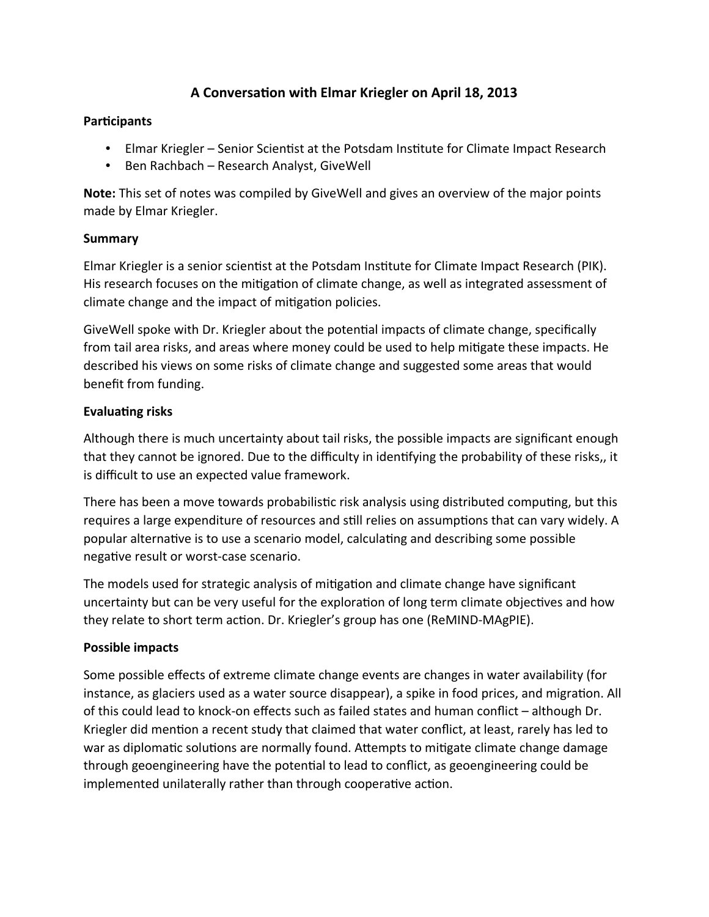# **A Conversation with Elmar Kriegler on April 18, 2013**

#### **Participants**

- Elmar Kriegler Senior Scientist at the Potsdam Institute for Climate Impact Research
- Ben Rachbach Research Analyst, GiveWell

**Note:** This set of notes was compiled by GiveWell and gives an overview of the major points made by Elmar Kriegler.

#### **Summary**

Elmar Kriegler is a senior scientist at the Potsdam Institute for Climate Impact Research (PIK). His research focuses on the mitigation of climate change, as well as integrated assessment of climate change and the impact of mitigation policies.

GiveWell spoke with Dr. Kriegler about the potential impacts of climate change, specifically from tail area risks, and areas where money could be used to help mitigate these impacts. He described his views on some risks of climate change and suggested some areas that would benefit from funding.

### **Evaluating risks**

Although there is much uncertainty about tail risks, the possible impacts are significant enough that they cannot be ignored. Due to the difficulty in identifying the probability of these risks,, it is difficult to use an expected value framework.

There has been a move towards probabilistic risk analysis using distributed computing, but this requires a large expenditure of resources and still relies on assumptions that can vary widely. A popular alternative is to use a scenario model, calculating and describing some possible negative result or worst-case scenario.

The models used for strategic analysis of mitigation and climate change have significant uncertainty but can be very useful for the exploration of long term climate objectives and how they relate to short term action. Dr. Kriegler's group has one (ReMIND-MAgPIE).

### **Possible impacts**

Some possible effects of extreme climate change events are changes in water availability (for instance, as glaciers used as a water source disappear), a spike in food prices, and migration. All of this could lead to knock-on effects such as failed states and human conflict – although Dr. Kriegler did mention a recent study that claimed that water conflict, at least, rarely has led to war as diplomatic solutions are normally found. Attempts to mitigate climate change damage through geoengineering have the potential to lead to conflict, as geoengineering could be implemented unilaterally rather than through cooperative action.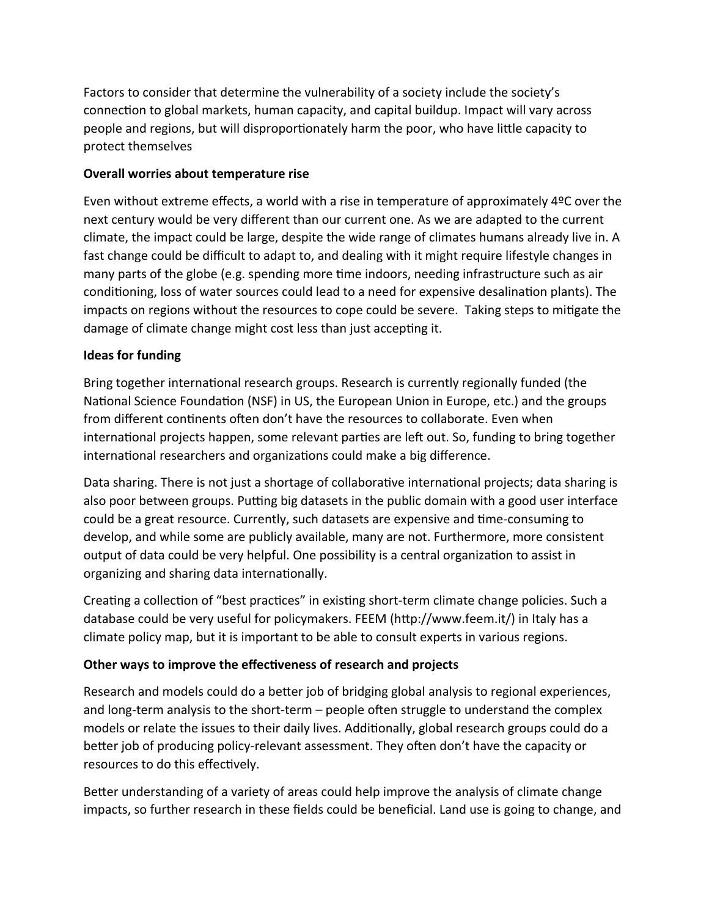Factors to consider that determine the vulnerability of a society include the society's connection to global markets, human capacity, and capital buildup. Impact will vary across people and regions, but will disproportionately harm the poor, who have little capacity to protect themselves

### **Overall worries about temperature rise**

Even without extreme effects, a world with a rise in temperature of approximately 4ºC over the next century would be very different than our current one. As we are adapted to the current climate, the impact could be large, despite the wide range of climates humans already live in. A fast change could be difficult to adapt to, and dealing with it might require lifestyle changes in many parts of the globe (e.g. spending more time indoors, needing infrastructure such as air conditioning, loss of water sources could lead to a need for expensive desalination plants). The impacts on regions without the resources to cope could be severe. Taking steps to mitigate the damage of climate change might cost less than just accepting it.

# **Ideas for funding**

Bring together international research groups. Research is currently regionally funded (the National Science Foundation (NSF) in US, the European Union in Europe, etc.) and the groups from different continents often don't have the resources to collaborate. Even when international projects happen, some relevant parties are left out. So, funding to bring together international researchers and organizations could make a big difference.

Data sharing. There is not just a shortage of collaborative international projects; data sharing is also poor between groups. Putting big datasets in the public domain with a good user interface could be a great resource. Currently, such datasets are expensive and time-consuming to develop, and while some are publicly available, many are not. Furthermore, more consistent output of data could be very helpful. One possibility is a central organization to assist in organizing and sharing data internationally.

Creating a collection of "best practices" in existing short-term climate change policies. Such a database could be very useful for policymakers. FEEM (http://www.feem.it/) in Italy has a climate policy map, but it is important to be able to consult experts in various regions.

# **Other ways to improve the effectiveness of research and projects**

Research and models could do a better job of bridging global analysis to regional experiences, and long-term analysis to the short-term – people often struggle to understand the complex models or relate the issues to their daily lives. Additionally, global research groups could do a better job of producing policy-relevant assessment. They often don't have the capacity or resources to do this effectively.

Better understanding of a variety of areas could help improve the analysis of climate change impacts, so further research in these fields could be beneficial. Land use is going to change, and